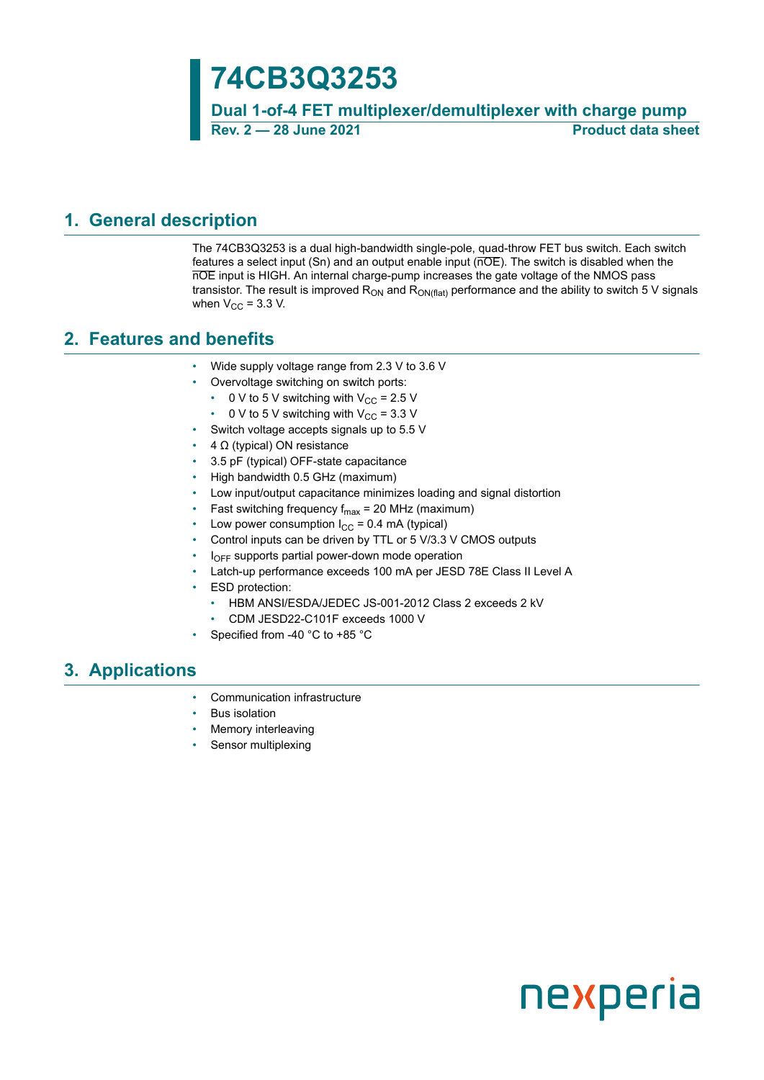# **74CB3Q3253**

**Dual 1-of-4 FET multiplexer/demultiplexer with charge pump Rev. 2 — 28 June 2021 Product data sheet**

### <span id="page-0-0"></span>**1. General description**

The 74CB3Q3253 is a dual high-bandwidth single-pole, quad-throw FET bus switch. Each switch features a select input  $(Sn)$  and an output enable input  $(nOE)$ . The switch is disabled when the nOE input is HIGH. An internal charge-pump increases the gate voltage of the NMOS pass transistor. The result is improved  $R_{ON}$  and  $R_{ON(flat)}$  performance and the ability to switch 5 V signals when  $V_{CC}$  = 3.3 V.

### <span id="page-0-1"></span>**2. Features and benefits**

- Wide supply voltage range from 2.3 V to 3.6 V
- Overvoltage switching on switch ports:
	- 0 V to 5 V switching with  $V_{CC}$  = 2.5 V
	- 0 V to 5 V switching with  $V_{CC}$  = 3.3 V
	- Switch voltage accepts signals up to 5.5 V
- $4 Ω$  (typical) ON resistance
- 3.5 pF (typical) OFF-state capacitance
- High bandwidth 0.5 GHz (maximum)
- Low input/output capacitance minimizes loading and signal distortion
- Fast switching frequency  $f_{max}$  = 20 MHz (maximum)
- Low power consumption  $I_{CC} = 0.4$  mA (typical)
- Control inputs can be driven by TTL or 5 V/3.3 V CMOS outputs
- $I<sub>OFF</sub>$  supports partial power-down mode operation
- Latch-up performance exceeds 100 mA per JESD 78E Class II Level A
- **ESD** protection:
	- HBM ANSI/ESDA/JEDEC JS-001-2012 Class 2 exceeds 2 kV
	- CDM JESD22-C101F exceeds 1000 V
- Specified from -40 °C to +85 °C

### <span id="page-0-2"></span>**3. Applications**

- Communication infrastructure
- **Bus isolation**
- Memory interleaving
- Sensor multiplexing

# nexperia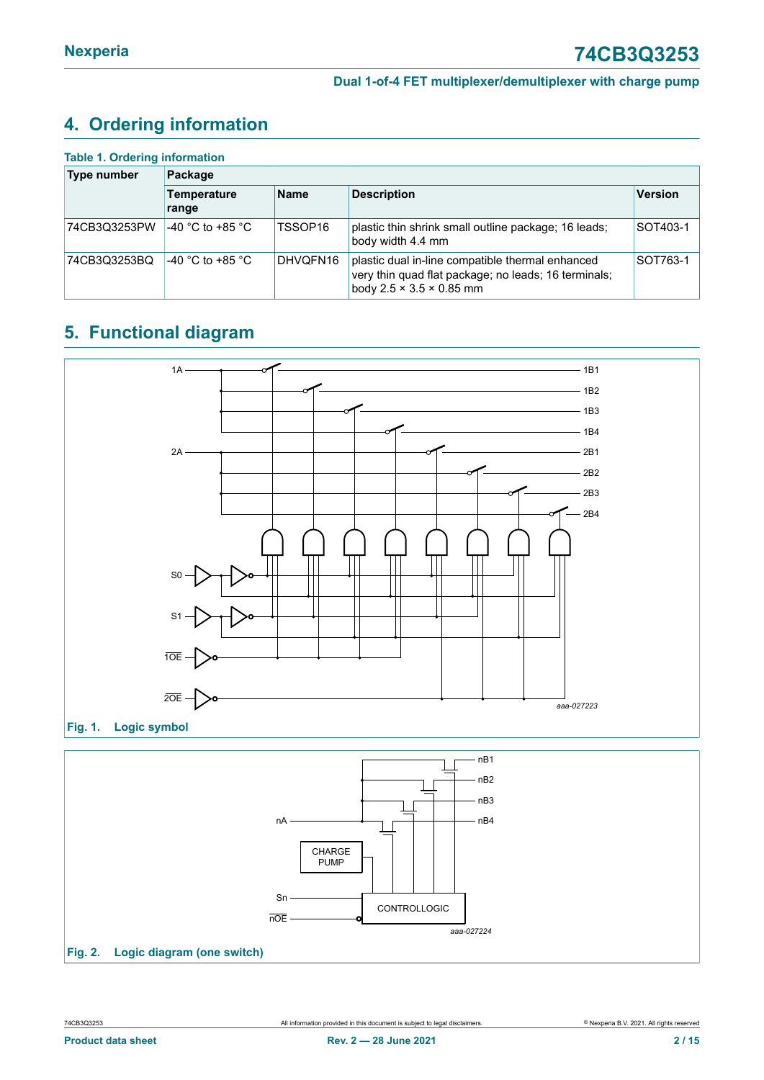# <span id="page-1-1"></span>**4. Ordering information**

| <b>Table 1. Ordering information</b> |                                     |          |                                                                                                                                                  |                |  |  |  |  |
|--------------------------------------|-------------------------------------|----------|--------------------------------------------------------------------------------------------------------------------------------------------------|----------------|--|--|--|--|
| <b>Type number</b>                   | Package                             |          |                                                                                                                                                  |                |  |  |  |  |
|                                      | <b>Name</b><br>Temperature<br>range |          | <b>Description</b>                                                                                                                               | <b>Version</b> |  |  |  |  |
| 74CB3Q3253PW                         | -40 °C to +85 °C                    | TSSOP16  | plastic thin shrink small outline package; 16 leads;<br>body width 4.4 mm                                                                        | SOT403-1       |  |  |  |  |
| 74CB3Q3253BQ                         | -40 °C to +85 °C                    | DHVQFN16 | plastic dual in-line compatible thermal enhanced<br>very thin quad flat package; no leads; 16 terminals;<br>body $2.5 \times 3.5 \times 0.85$ mm | SOT763-1       |  |  |  |  |

# <span id="page-1-2"></span>**5. Functional diagram**

<span id="page-1-0"></span>



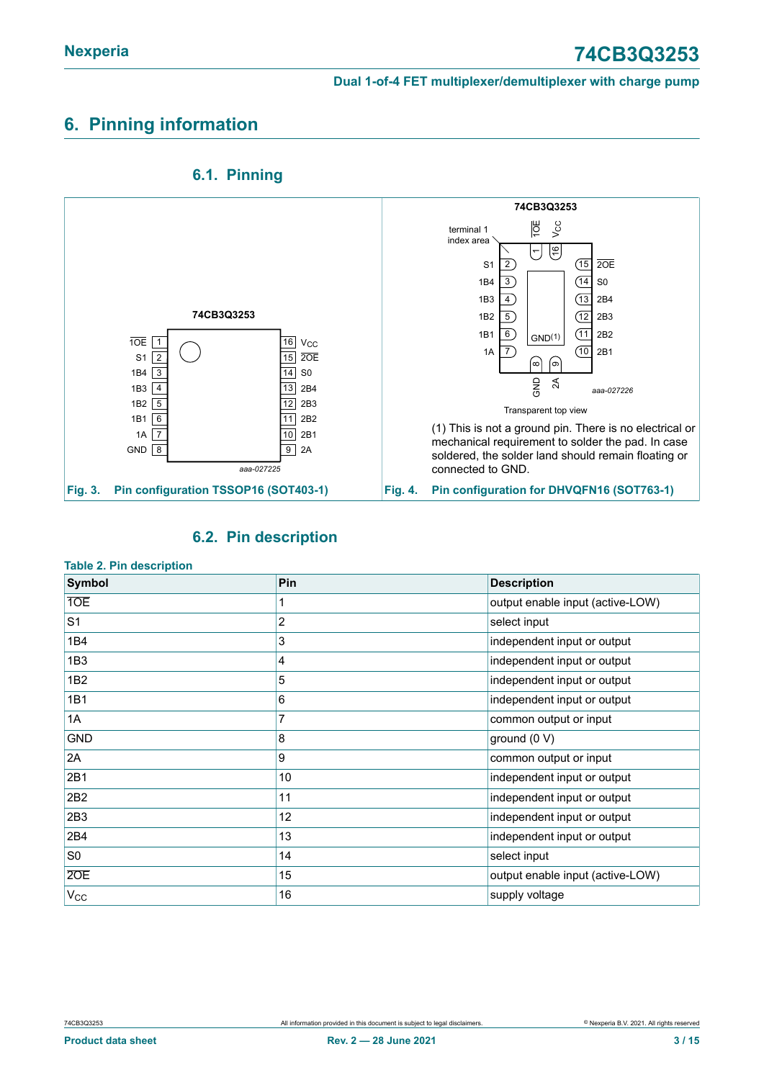# <span id="page-2-0"></span>**6. Pinning information**



### <span id="page-2-1"></span>**6.1. Pinning**

#### <span id="page-2-2"></span>**6.2. Pin description**

| <b>Description</b><br>output enable input (active-LOW)<br>select input |  |  |
|------------------------------------------------------------------------|--|--|
|                                                                        |  |  |
|                                                                        |  |  |
|                                                                        |  |  |
| independent input or output                                            |  |  |
| independent input or output                                            |  |  |
| independent input or output                                            |  |  |
| independent input or output                                            |  |  |
| common output or input                                                 |  |  |
| ground (0 V)                                                           |  |  |
| common output or input                                                 |  |  |
| independent input or output                                            |  |  |
| independent input or output                                            |  |  |
| independent input or output                                            |  |  |
| independent input or output                                            |  |  |
| select input                                                           |  |  |
| output enable input (active-LOW)                                       |  |  |
| supply voltage                                                         |  |  |
|                                                                        |  |  |

#### **Table 2. Pin description**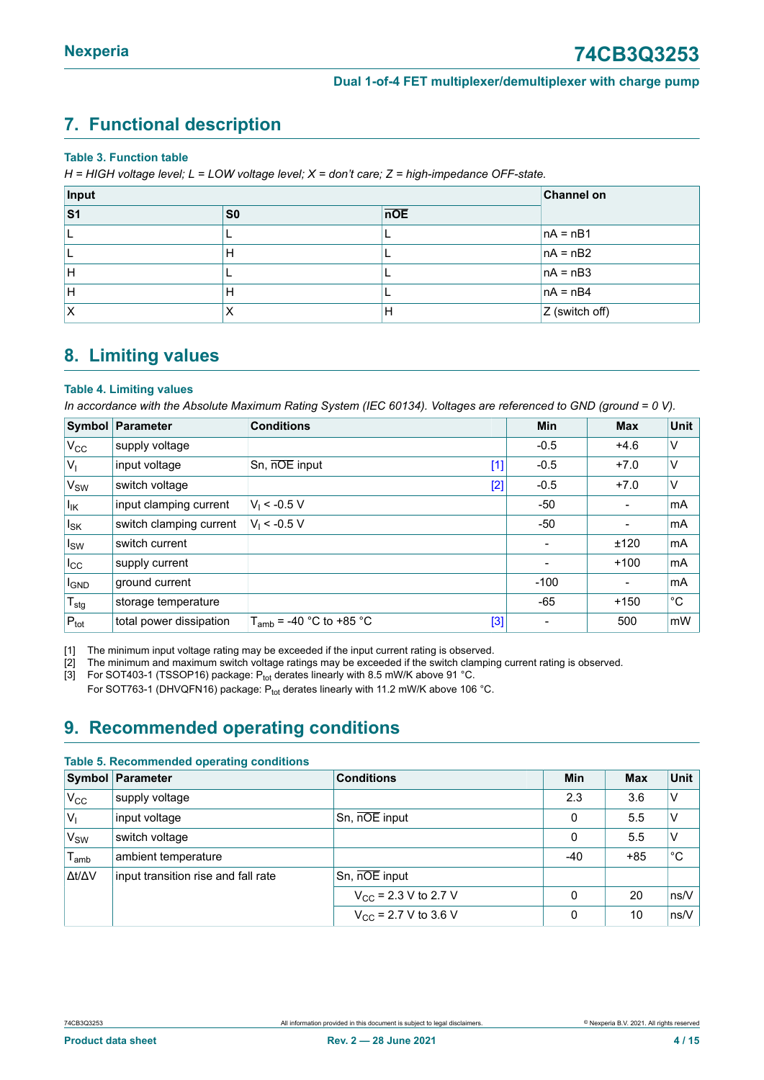## <span id="page-3-2"></span><span id="page-3-0"></span>**7. Functional description**

#### **Table 3. Function table**

*H = HIGH voltage level; L = LOW voltage level; X = don't care; Z = high-impedance OFF-state.*

| Input | <b>Channel on</b> |     |                |
|-------|-------------------|-----|----------------|
| S1    | S <sub>0</sub>    | nOE |                |
|       |                   |     | $ nA = nB1$    |
|       | н                 |     | $nA = nB2$     |
| IH.   |                   |     | $nA = nB3$     |
| ΙH    | н                 |     | $nA = nB4$     |
| ΙX    |                   | H   | Z (switch off) |

### <span id="page-3-1"></span>**8. Limiting values**

#### **Table 4. Limiting values**

In accordance with the Absolute Maximum Rating System (IEC 60134). Voltages are referenced to GND (ground = 0 V).

|                              | Symbol Parameter        | <b>Conditions</b>                   | Min    | <b>Max</b>               | <b>Unit</b> |
|------------------------------|-------------------------|-------------------------------------|--------|--------------------------|-------------|
| $V_{CC}$                     | supply voltage          |                                     | $-0.5$ | $+4.6$                   | V           |
| $ V_1 $                      | input voltage           | Sn, nOE input<br>$[1]$              | $-0.5$ | $+7.0$                   | V           |
| V <sub>SW</sub>              | switch voltage          | [2]                                 | $-0.5$ | $+7.0$                   | V           |
| $\vert I_{\mathsf{IK}}\vert$ | input clamping current  | $V_1$ < -0.5 V                      | -50    |                          | mA          |
| $\vert$ <sub>sk</sub>        | switch clamping current | $V_1$ < -0.5 V                      | -50    | $\blacksquare$           | mA          |
| $\vert$ <sub>sw</sub>        | switch current          |                                     |        | ±120                     | mA          |
| $I_{\rm CC}$                 | supply current          |                                     |        | $+100$                   | mA          |
| <b>I<sub>GND</sub></b>       | ground current          |                                     | $-100$ | $\overline{\phantom{a}}$ | mA          |
| $T_{\text{stg}}$             | storage temperature     |                                     | $-65$  | $+150$                   | °С          |
| $P_{\text{tot}}$             | total power dissipation | [3]<br>$T_{amb}$ = -40 °C to +85 °C |        | 500                      | mW          |

[1] The minimum input voltage rating may be exceeded if the input current rating is observed.

[2] The minimum and maximum switch voltage ratings may be exceeded if the switch clamping current rating is observed.<br>[3] For SOT403-1 (TSSOP16) package: P<sub>tot</sub> derates linearly with 8.5 mW/K above 91 °C.

For SOT403-1 (TSSOP16) package: Ptot derates linearly with 8.5 mW/K above 91 °C. For SOT763-1 (DHVQFN16) package: P<sub>tot</sub> derates linearly with 11.2 mW/K above 106 °C.

### <span id="page-3-3"></span>**9. Recommended operating conditions**

#### **Table 5. Recommended operating conditions**

|                     | <b>Symbol Parameter</b>             | <b>Conditions</b>                | <b>Min</b>   | <b>Max</b> | Unit          |
|---------------------|-------------------------------------|----------------------------------|--------------|------------|---------------|
| $V_{\rm CC}$        | supply voltage                      |                                  | 2.3          | 3.6        | V             |
| $ V_1$              | input voltage                       | Sn, nOE input                    | $\mathbf{0}$ | 5.5        | V             |
| V <sub>SW</sub>     | switch voltage                      |                                  | $\Omega$     | 5.5        | V             |
| $T_{\mathsf{amb}}$  | ambient temperature                 |                                  | $-40$        | $+85$      | °C            |
| $\Delta t/\Delta V$ | input transition rise and fall rate | Sn, nOE input                    |              |            |               |
|                     |                                     | $V_{CC}$ = 2.3 V to 2.7 V        | $\Omega$     | 20         | $\sqrt{ns/V}$ |
|                     |                                     | $V_{\text{CC}}$ = 2.7 V to 3.6 V | $\Omega$     | 10         | $\sqrt{ns/V}$ |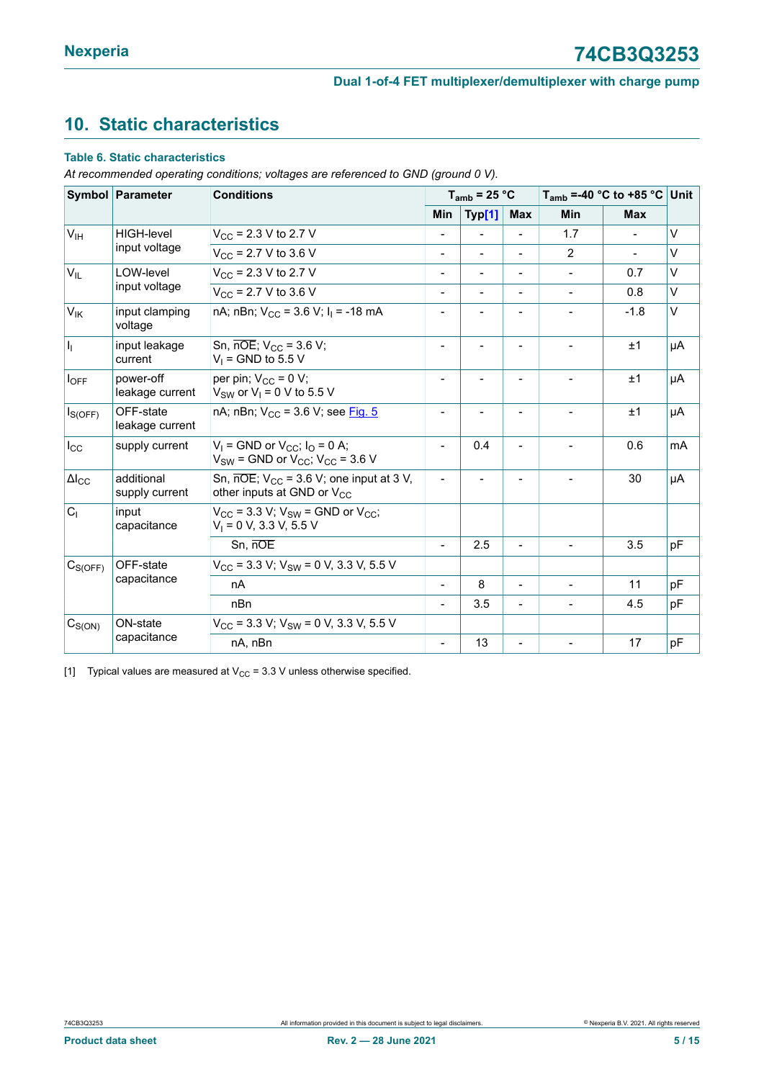# <span id="page-4-1"></span><span id="page-4-0"></span>**10. Static characteristics**

#### **Table 6. Static characteristics**

*At recommended operating conditions; voltages are referenced to GND (ground 0 V).*

|                           | Symbol Parameter<br><b>Conditions</b> |                                                                                                             |                              | $T_{amb}$ = 25 °C        |                | $T_{amb}$ =-40 °C to +85 °C Unit |                |        |
|---------------------------|---------------------------------------|-------------------------------------------------------------------------------------------------------------|------------------------------|--------------------------|----------------|----------------------------------|----------------|--------|
|                           |                                       |                                                                                                             | Min                          | Typ[1]                   | <b>Max</b>     | Min                              | <b>Max</b>     |        |
| V <sub>IH</sub>           | <b>HIGH-level</b>                     | $V_{\rm CC}$ = 2.3 V to 2.7 V                                                                               |                              |                          |                | 1.7                              |                | $\vee$ |
|                           | input voltage                         | $V_{CC}$ = 2.7 V to 3.6 V                                                                                   | $\overline{\phantom{a}}$     | $\overline{\phantom{a}}$ |                | 2                                | $\blacksquare$ | V      |
| $V_{IL}$                  | LOW-level                             | $V_{\rm CC}$ = 2.3 V to 2.7 V                                                                               |                              |                          |                |                                  | 0.7            | $\vee$ |
|                           | input voltage                         | $V_{CC}$ = 2.7 V to 3.6 V                                                                                   | $\overline{\phantom{0}}$     |                          |                |                                  | 0.8            | $\vee$ |
| $V_{IK}$                  | input clamping<br>voltage             | nA; nBn; $V_{CC}$ = 3.6 V; $I_1$ = -18 mA                                                                   |                              |                          |                |                                  | $-1.8$         | V      |
| h,                        | input leakage<br>current              | Sn, $\overline{noE}$ ; V <sub>CC</sub> = 3.6 V;<br>$V_1$ = GND to 5.5 V                                     | $\overline{\phantom{a}}$     |                          |                |                                  | ±1             | μA     |
| loff                      | power-off<br>leakage current          | per pin; $V_{CC} = 0 V$ ;<br>$V_{SW}$ or $V_1 = 0$ V to 5.5 V                                               |                              |                          |                |                                  | ±1             | μA     |
| $I_{S(OFF)}$              | OFF-state<br>leakage current          | nA; nBn; V <sub>CC</sub> = 3.6 V; see Fig. 5                                                                | $\overline{\phantom{a}}$     |                          |                |                                  | ±1             | μA     |
| $I_{\rm CC}$              | supply current                        | $V_1$ = GND or $V_{CC}$ ; $I_0$ = 0 A;<br>$V_{SW}$ = GND or $V_{CC}$ ; $V_{CC}$ = 3.6 V                     | $\qquad \qquad \blacksquare$ | 0.4                      |                |                                  | 0.6            | mA     |
| $\Delta I_{CC}$           | additional<br>supply current          | Sn, $\overline{noE}$ ; V <sub>CC</sub> = 3.6 V; one input at 3 V,<br>other inputs at GND or V <sub>CC</sub> |                              |                          |                |                                  | 30             | μA     |
| C <sub>1</sub>            | input<br>capacitance                  | $V_{CC}$ = 3.3 V; $V_{SW}$ = GND or $V_{CC}$ ;<br>$V_1 = 0 V$ , 3.3 V, 5.5 V                                |                              |                          |                |                                  |                |        |
|                           |                                       | Sn, nOE                                                                                                     | $\frac{1}{2}$                | 2.5                      | $\blacksquare$ | $\overline{\phantom{0}}$         | 3.5            | pF     |
| OFF-state<br>$C_{S(OFF)}$ |                                       | $V_{CC}$ = 3.3 V; V <sub>SW</sub> = 0 V, 3.3 V, 5.5 V                                                       |                              |                          |                |                                  |                |        |
|                           | capacitance                           | nA                                                                                                          |                              | 8                        |                |                                  | 11             | pF     |
|                           |                                       | nBn                                                                                                         |                              | 3.5                      |                |                                  | 4.5            | pF     |
| $C_{S(ON)}$               | ON-state                              | $V_{CC}$ = 3.3 V; V <sub>SW</sub> = 0 V, 3.3 V, 5.5 V                                                       |                              |                          |                |                                  |                |        |
|                           | capacitance                           | nA, nBn                                                                                                     | $\overline{\phantom{a}}$     | 13                       |                |                                  | 17             | pF     |

[1] Typical values are measured at  $V_{CC} = 3.3$  V unless otherwise specified.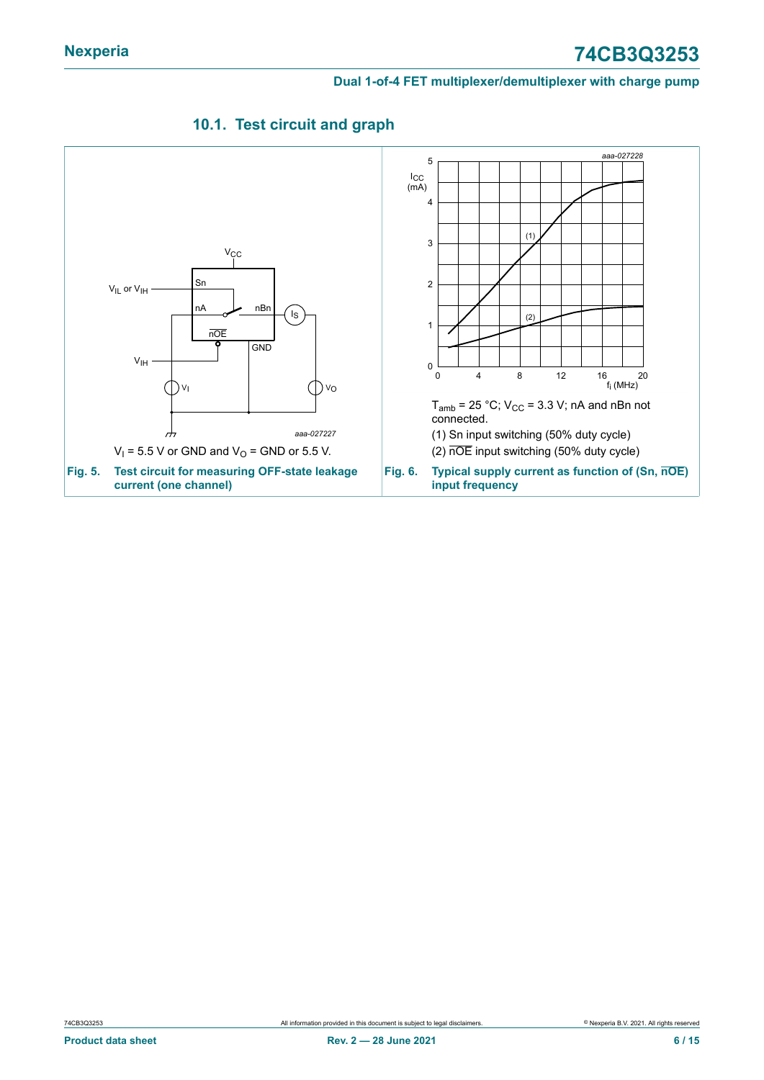<span id="page-5-0"></span>

### <span id="page-5-1"></span>**10.1. Test circuit and graph**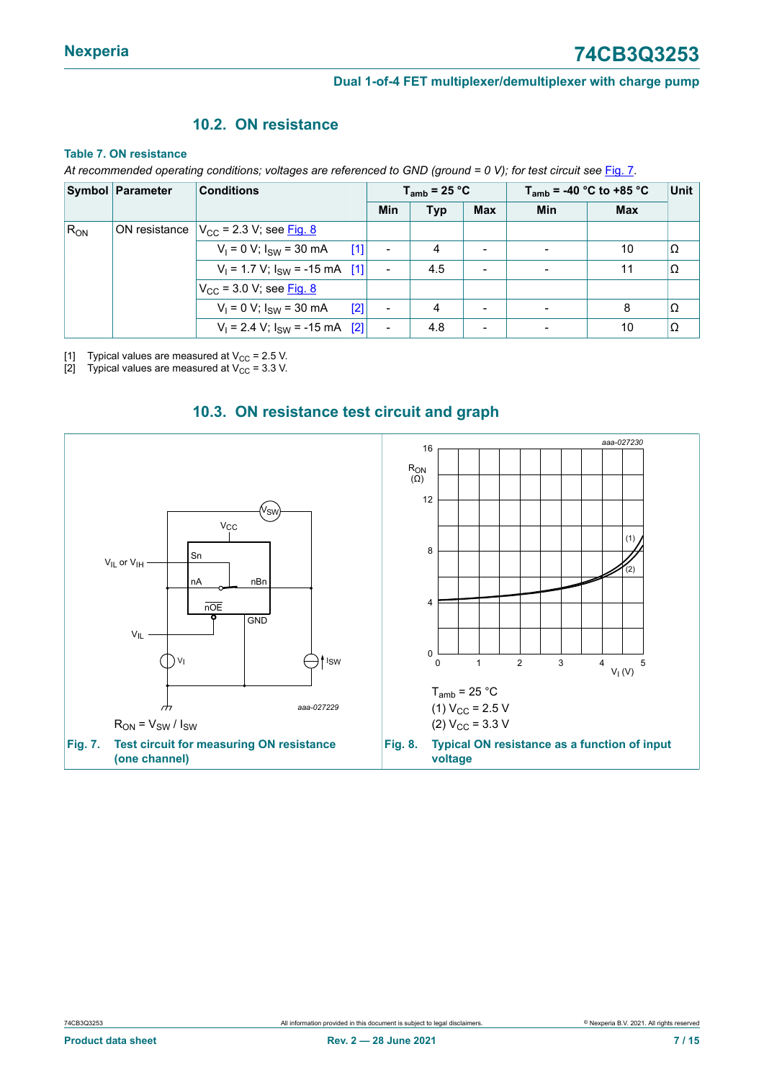### <span id="page-6-3"></span><span id="page-6-2"></span>**10.2. ON resistance**

#### **Table 7. ON resistance**

At recommended operating conditions; voltages are referenced to GND (ground = 0 V); for test circuit see [Fig. 7](#page-6-0).

|          | <b>Symbol Parameter</b> | <b>Conditions</b>                          | $T_{amb}$ = 25 °C        |            |                          | $T_{amb}$ = -40 °C to +85 °C | Unit       |          |
|----------|-------------------------|--------------------------------------------|--------------------------|------------|--------------------------|------------------------------|------------|----------|
|          |                         |                                            | <b>Min</b>               | <b>Typ</b> | <b>Max</b>               | Min                          | <b>Max</b> |          |
| $R_{ON}$ |                         | ON resistance $V_{CC}$ = 2.3 V; see Fig. 8 |                          |            |                          |                              |            |          |
|          |                         | $V_1 = 0 V$ ; $I_{SW} = 30 mA$<br>[1]      | $\overline{\phantom{a}}$ | 4          | $\overline{\phantom{a}}$ | $\overline{\phantom{0}}$     | 10         | lΩ       |
|          |                         | $V_1 = 1.7 V$ ; $I_{SW} = -15$ mA [1]      | $\overline{\phantom{a}}$ | 4.5        | $\blacksquare$           |                              | 11         | $\Omega$ |
|          |                         | $V_{CC}$ = 3.0 V; see Fig. 8               |                          |            |                          |                              |            |          |
|          |                         | $V_1 = 0 V$ ; $I_{SW} = 30 mA$<br>$[2]$    | $\overline{\phantom{a}}$ | 4          | $\overline{\phantom{0}}$ |                              | 8          | Ω        |
|          |                         | $V_1 = 2.4$ V; $I_{SW} = -15$ mA [2]       | $\overline{\phantom{a}}$ | 4.8        | $\overline{\phantom{0}}$ |                              | 10         | lΩ       |

[1] Typical values are measured at  $V_{CC} = 2.5$  V.<br>[2] Typical values are measured at  $V_{CC} = 3.3$  V.

Typical values are measured at  $V_{\text{CC}}$  = 3.3 V.

<span id="page-6-0"></span>

#### <span id="page-6-4"></span><span id="page-6-1"></span>**10.3. ON resistance test circuit and graph**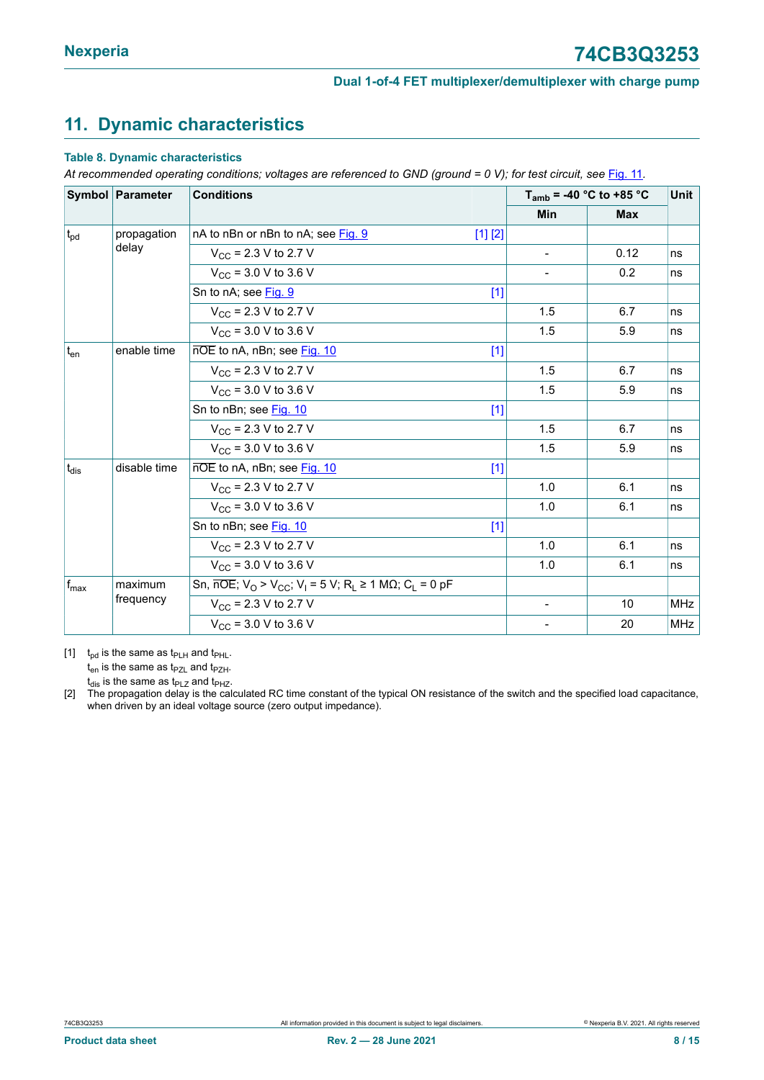# <span id="page-7-1"></span><span id="page-7-0"></span>**11. Dynamic characteristics**

#### **Table 8. Dynamic characteristics**

At recommended operating conditions; voltages are referenced to GND (ground = 0 V); for test circuit, see [Fig.](#page-9-0) 11.

| Symbol Parameter            |              | <b>Conditions</b>                                                                                                            |         | $T_{amb}$ = -40 °C to +85 °C | Unit       |            |
|-----------------------------|--------------|------------------------------------------------------------------------------------------------------------------------------|---------|------------------------------|------------|------------|
|                             |              |                                                                                                                              |         | Min                          | <b>Max</b> |            |
| propagation<br>$t_{\rm pd}$ |              | nA to nBn or nBn to nA; see Fig. 9                                                                                           | [1] [2] |                              |            |            |
|                             | delay        | $V_{\text{CC}}$ = 2.3 V to 2.7 V                                                                                             |         | $\overline{\phantom{a}}$     | 0.12       | ns         |
|                             |              | $V_{CC}$ = 3.0 V to 3.6 V                                                                                                    |         | $\blacksquare$               | 0.2        | ns         |
|                             |              | Sn to nA; see Fig. 9                                                                                                         | $[1]$   |                              |            |            |
|                             |              | $V_{\rm CC}$ = 2.3 V to 2.7 V                                                                                                |         | 1.5                          | 6.7        | ns         |
|                             |              | $V_{CC}$ = 3.0 V to 3.6 V                                                                                                    |         | 1.5                          | 5.9        | ns         |
| $t_{en}$                    | enable time  | nOE to nA, nBn; see Fig. 10                                                                                                  | $[1]$   |                              |            |            |
|                             |              | $V_{CC}$ = 2.3 V to 2.7 V                                                                                                    |         | 1.5                          | 6.7        | ns         |
|                             |              | $V_{CC}$ = 3.0 V to 3.6 V                                                                                                    |         | 1.5                          | 5.9        | ns         |
|                             |              | Sn to nBn; see Fig. 10                                                                                                       | $[1]$   |                              |            |            |
|                             |              | $V_{CC}$ = 2.3 V to 2.7 V                                                                                                    |         | 1.5                          | 6.7        | ns         |
|                             |              | $V_{\text{CC}}$ = 3.0 V to 3.6 V                                                                                             |         | 1.5                          | 5.9        | ns         |
| $t_{dis}$                   | disable time | nOE to nA, nBn; see Fig. 10                                                                                                  | $[1]$   |                              |            |            |
|                             |              | $V_{CC}$ = 2.3 V to 2.7 V                                                                                                    |         | 1.0                          | 6.1        | ns         |
|                             |              | $V_{CC}$ = 3.0 V to 3.6 V                                                                                                    |         | 1.0                          | 6.1        | ns         |
|                             |              | Sn to nBn; see Fig. 10                                                                                                       | $[1]$   |                              |            |            |
|                             |              | $V_{CC}$ = 2.3 V to 2.7 V                                                                                                    |         | 1.0                          | 6.1        | ns         |
|                             |              | $V_{CC}$ = 3.0 V to 3.6 V                                                                                                    |         | 1.0                          | 6.1        | ns         |
| $f_{\text{max}}$            | maximum      | Sn, $\overline{noE}$ ; V <sub>O</sub> > V <sub>CC</sub> ; V <sub>I</sub> = 5 V; R <sub>L</sub> ≥ 1 MΩ; C <sub>L</sub> = 0 pF |         |                              |            |            |
|                             | frequency    | $V_{\text{CC}}$ = 2.3 V to 2.7 V                                                                                             |         | $\blacksquare$               | 10         | <b>MHz</b> |
|                             |              | $V_{CC}$ = 3.0 V to 3.6 V                                                                                                    |         | $\blacksquare$               | 20         | <b>MHz</b> |

[1]  $t_{\text{pd}}$  is the same as  $t_{\text{PLH}}$  and  $t_{\text{PHL}}$ .

 $t_{en}$  is the same as  $t_{PZL}$  and  $t_{PZH}$ .

 $t_{dis}$  is the same as  $t_{PLZ}$  and  $t_{PHZ}$ .

[2] The propagation delay is the calculated RC time constant of the typical ON resistance of the switch and the specified load capacitance, when driven by an ideal voltage source (zero output impedance).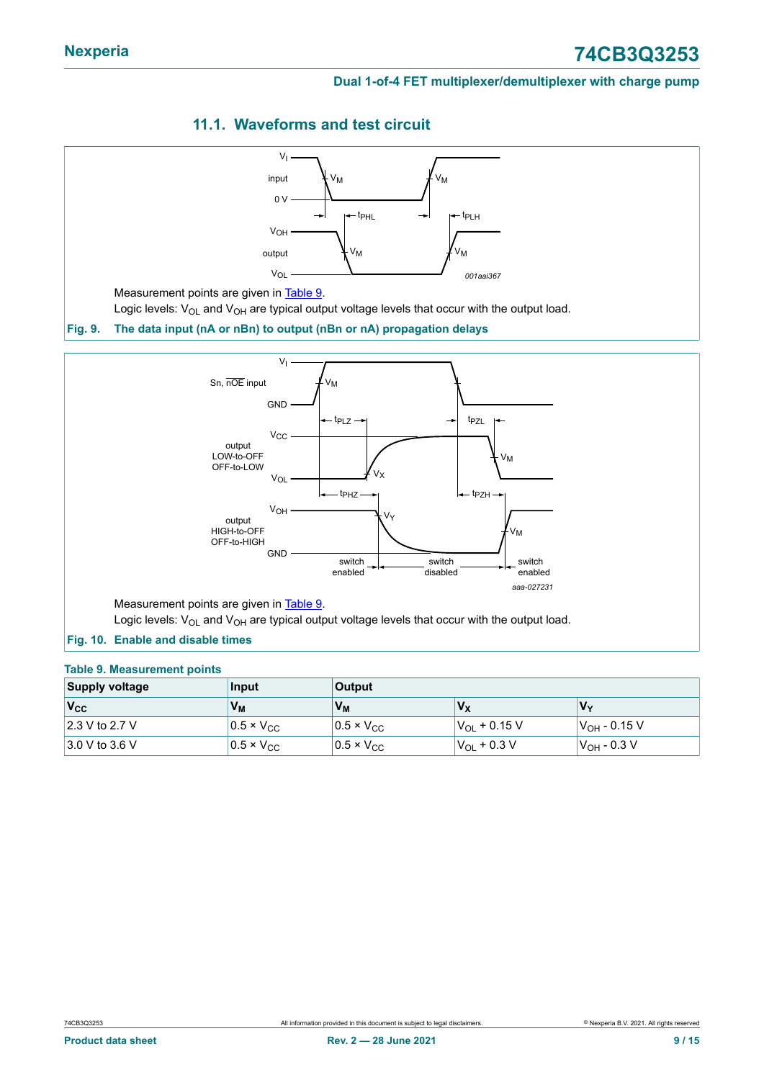### <span id="page-8-3"></span>**11.1. Waveforms and test circuit**

<span id="page-8-1"></span><span id="page-8-0"></span>

#### <span id="page-8-2"></span>**Fig. 10. Enable and disable times**

#### **Table 9. Measurement points**

| <b>Supply voltage</b>           | Input               | <b>Output</b>       |                     |                          |  |  |
|---------------------------------|---------------------|---------------------|---------------------|--------------------------|--|--|
| $V_{\rm CC}$                    | V <sub>M</sub>      | V <sub>M</sub>      | $V_X$               | Vv                       |  |  |
| $ 2.3 \vee \text{to } 2.7 \vee$ | $0.5 \times V_{CC}$ | $0.5 \times V_{CC}$ | $ V_{OL} + 0.15 V $ | V <sub>OH</sub> - 0.15 V |  |  |
| $3.0 V$ to 3.6 V                | $0.5 \times V_{CC}$ | $0.5 \times V_{CC}$ | $ V_{OL} + 0.3 V $  | $ V_{\rm OH}$ - 0.3 V    |  |  |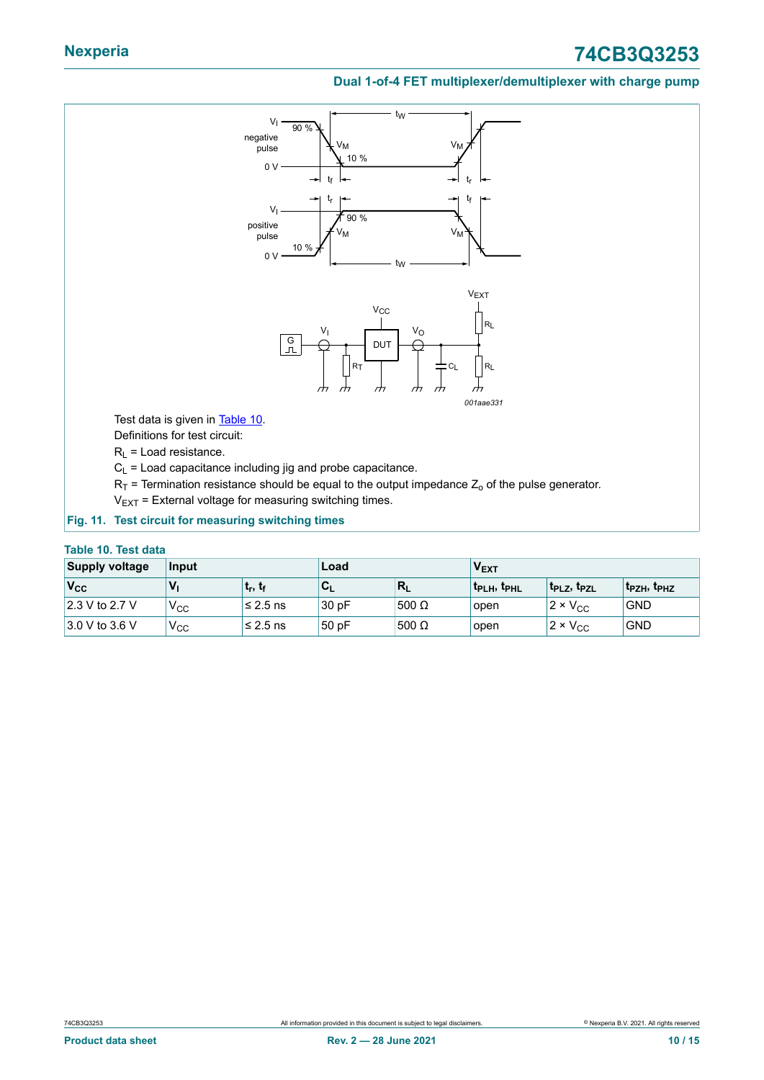# **Nexperia 74CB3Q3253**

#### **Dual 1-of-4 FET multiplexer/demultiplexer with charge pump**

<span id="page-9-0"></span>

#### <span id="page-9-1"></span>**Table 10. Test data**

| <b>Supply voltage</b>            | Input<br>Load |                                   |                           | <b>V<sub>EXT</sub></b> |                                     |                                |                                     |
|----------------------------------|---------------|-----------------------------------|---------------------------|------------------------|-------------------------------------|--------------------------------|-------------------------------------|
| $ V_{CC} $                       | $V_1$         | ∣ t <sub>r</sub> , t <sub>f</sub> | $\mathbf{c}_{\mathsf{L}}$ | $R_L$                  | t <sub>PLH</sub> , t <sub>PHL</sub> | $ t_{\sf PLZ}$ , $t_{\sf PZL}$ | t <sub>PZH</sub> , t <sub>PHZ</sub> |
| $ 2.3 \vee \text{ to } 2.7 \vee$ | $V_{\rm CC}$  | $≤ 2.5$ ns                        | 30pF                      | 500 $\Omega$           | open                                | $2 \times V_{CC}$              | <b>GND</b>                          |
| $3.0 V$ to 3.6 V                 | $V_{\rm CC}$  | $≤ 2.5$ ns                        | 50 pF                     | 500 $\Omega$           | open                                | $12 \times V_{CC}$             | <b>GND</b>                          |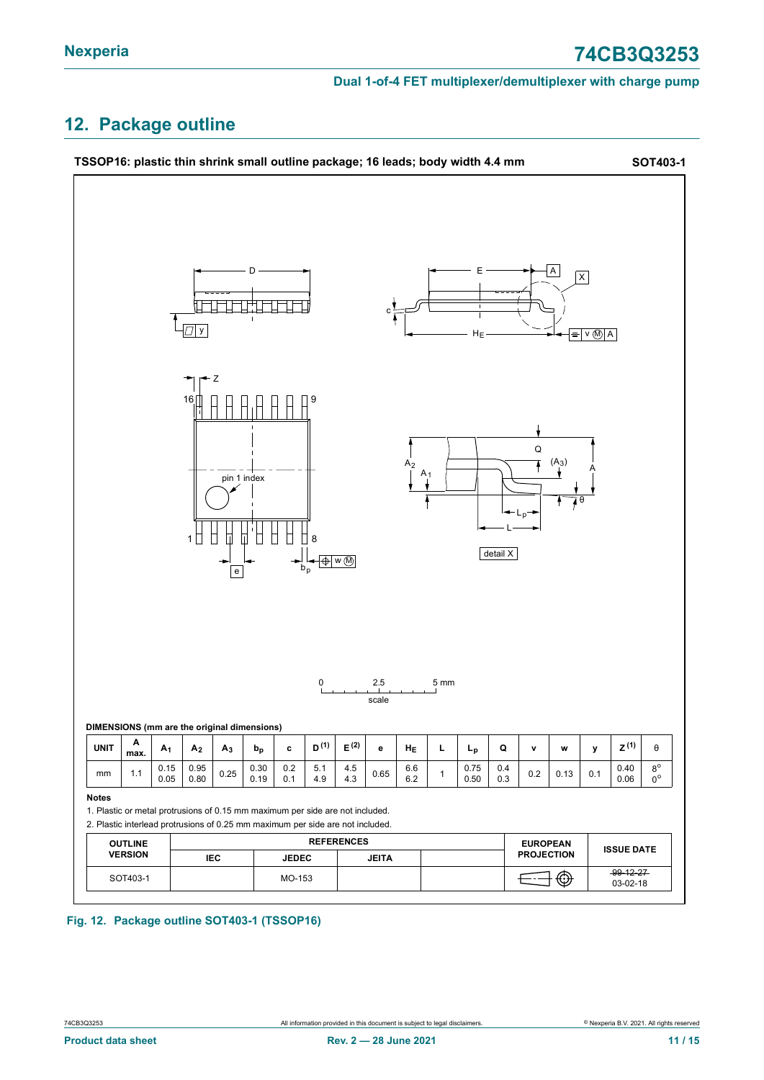# <span id="page-10-0"></span>**12. Package outline**



#### **Fig. 12. Package outline SOT403-1 (TSSOP16)**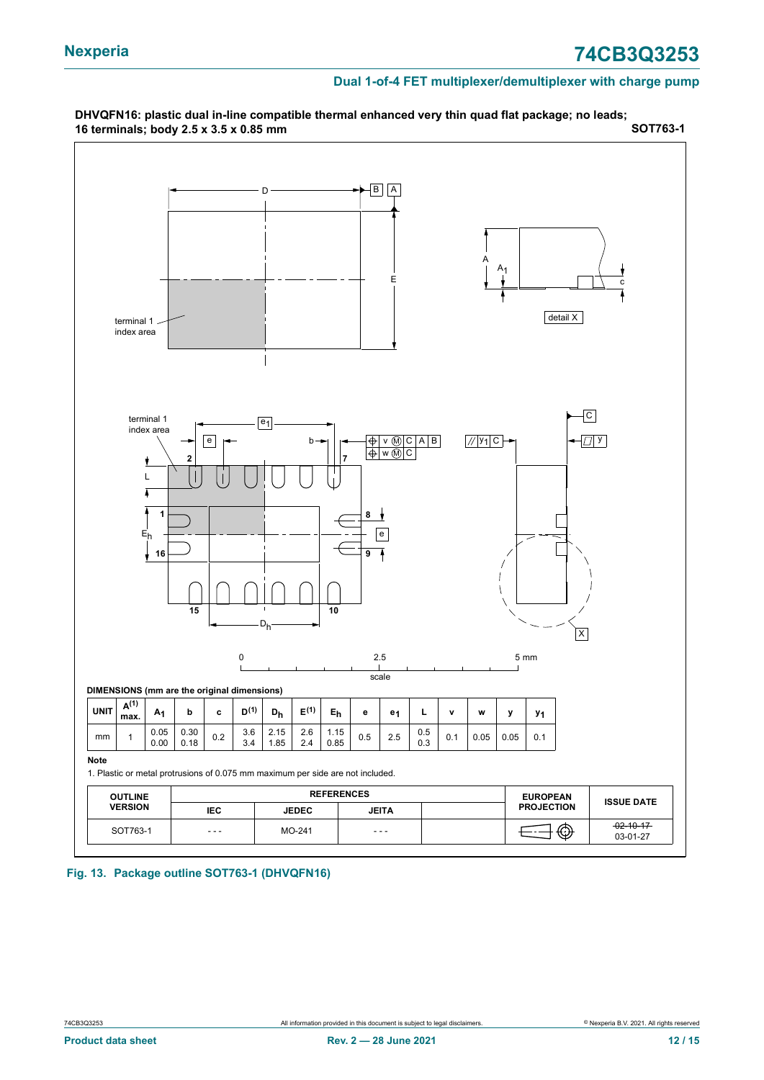

**Fig. 13. Package outline SOT763-1 (DHVQFN16)**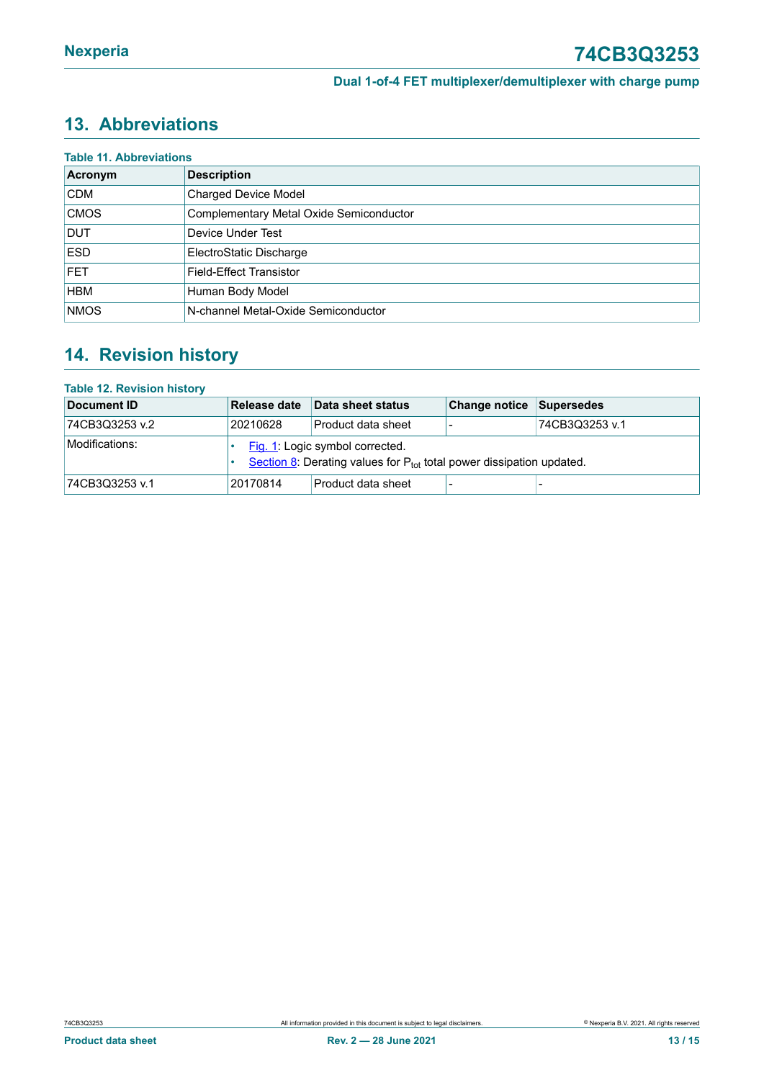# <span id="page-12-0"></span>**13. Abbreviations**

| <b>Table 11. Abbreviations</b> |                                         |  |  |  |  |  |  |
|--------------------------------|-----------------------------------------|--|--|--|--|--|--|
| Acronym                        | <b>Description</b>                      |  |  |  |  |  |  |
| <b>CDM</b>                     | <b>Charged Device Model</b>             |  |  |  |  |  |  |
| <b>CMOS</b>                    | Complementary Metal Oxide Semiconductor |  |  |  |  |  |  |
| <b>DUT</b>                     | <b>Device Under Test</b>                |  |  |  |  |  |  |
| <b>ESD</b>                     | ElectroStatic Discharge                 |  |  |  |  |  |  |
| <b>FET</b>                     | Field-Effect Transistor                 |  |  |  |  |  |  |
| <b>HBM</b>                     | Human Body Model                        |  |  |  |  |  |  |
| <b>NMOS</b>                    | N-channel Metal-Oxide Semiconductor     |  |  |  |  |  |  |

# <span id="page-12-1"></span>**14. Revision history**

#### **Table 12. Revision history**

| Document ID    | Release date                                                                                                 | Data sheet status         | <b>Change notice Supersedes</b> |                |  |  |
|----------------|--------------------------------------------------------------------------------------------------------------|---------------------------|---------------------------------|----------------|--|--|
| 74CB3Q3253 v.2 | 20210628                                                                                                     | l Product data sheet      |                                 | 74CB3Q3253 v.1 |  |  |
| Modifications: | Fig. 1: Logic symbol corrected.<br>Section 8: Derating values for $P_{tot}$ total power dissipation updated. |                           |                                 |                |  |  |
| 74CB3Q3253 v.1 | 20170814                                                                                                     | <b>Product data sheet</b> |                                 |                |  |  |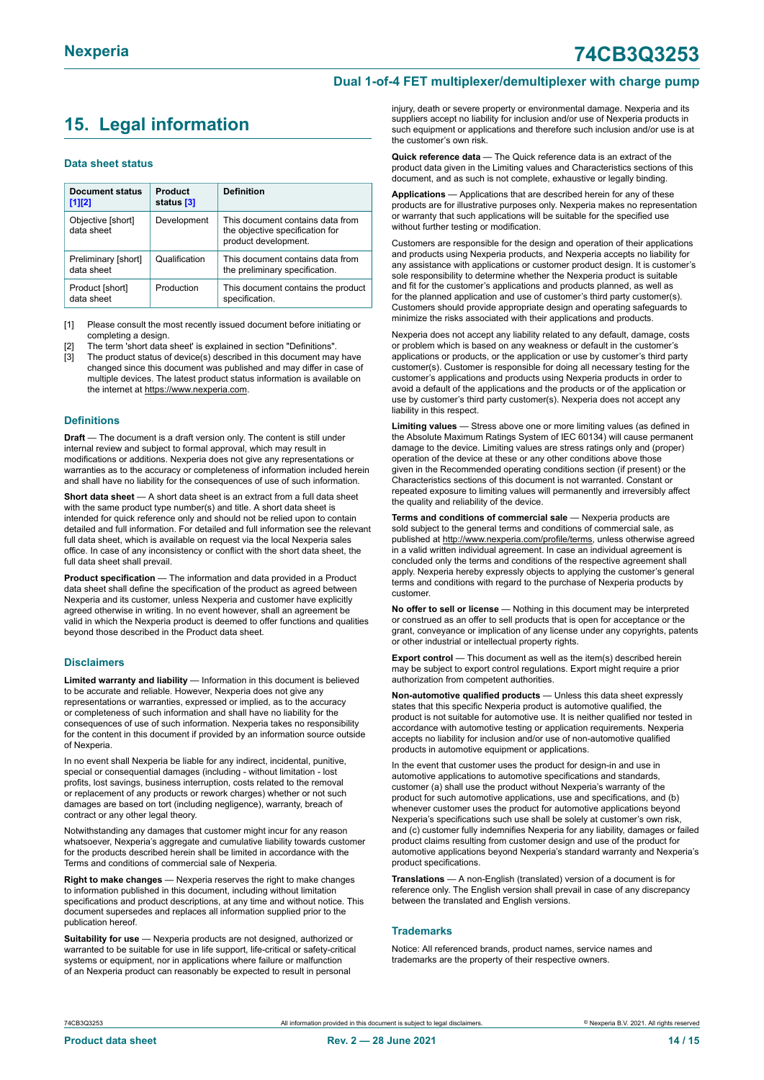# <span id="page-13-0"></span>**15. Legal information**

#### **Data sheet status**

| Document status<br>$[1]$ [2]      | Product<br>status [3] | <b>Definition</b>                                                                           |
|-----------------------------------|-----------------------|---------------------------------------------------------------------------------------------|
| Objective [short]<br>data sheet   | Development           | This document contains data from<br>the objective specification for<br>product development. |
| Preliminary [short]<br>data sheet | Qualification         | This document contains data from<br>the preliminary specification.                          |
| Product [short]<br>data sheet     | Production            | This document contains the product<br>specification.                                        |

[1] Please consult the most recently issued document before initiating or completing a design.

- The term 'short data sheet' is explained in section "Definitions".
- [3] The product status of device(s) described in this document may have changed since this document was published and may differ in case of multiple devices. The latest product status information is available on the internet at [https://www.nexperia.com.](https://www.nexperia.com)

#### **Definitions**

**Draft** — The document is a draft version only. The content is still under internal review and subject to formal approval, which may result in modifications or additions. Nexperia does not give any representations or warranties as to the accuracy or completeness of information included herein and shall have no liability for the consequences of use of such information.

**Short data sheet** — A short data sheet is an extract from a full data sheet with the same product type number(s) and title. A short data sheet is intended for quick reference only and should not be relied upon to contain detailed and full information. For detailed and full information see the relevant full data sheet, which is available on request via the local Nexperia sales office. In case of any inconsistency or conflict with the short data sheet, the full data sheet shall prevail.

**Product specification** — The information and data provided in a Product data sheet shall define the specification of the product as agreed between Nexperia and its customer, unless Nexperia and customer have explicitly agreed otherwise in writing. In no event however, shall an agreement be valid in which the Nexperia product is deemed to offer functions and qualities beyond those described in the Product data sheet.

#### **Disclaimers**

**Limited warranty and liability** — Information in this document is believed to be accurate and reliable. However, Nexperia does not give any representations or warranties, expressed or implied, as to the accuracy or completeness of such information and shall have no liability for the consequences of use of such information. Nexperia takes no responsibility for the content in this document if provided by an information source outside of Nexperia.

In no event shall Nexperia be liable for any indirect, incidental, punitive, special or consequential damages (including - without limitation - lost profits, lost savings, business interruption, costs related to the removal or replacement of any products or rework charges) whether or not such damages are based on tort (including negligence), warranty, breach of contract or any other legal theory.

Notwithstanding any damages that customer might incur for any reason whatsoever, Nexperia's aggregate and cumulative liability towards customer for the products described herein shall be limited in accordance with the Terms and conditions of commercial sale of Nexperia.

**Right to make changes** — Nexperia reserves the right to make changes to information published in this document, including without limitation specifications and product descriptions, at any time and without notice. This document supersedes and replaces all information supplied prior to the publication hereof.

**Suitability for use** — Nexperia products are not designed, authorized or warranted to be suitable for use in life support, life-critical or safety-critical systems or equipment, nor in applications where failure or malfunction of an Nexperia product can reasonably be expected to result in personal

injury, death or severe property or environmental damage. Nexperia and its suppliers accept no liability for inclusion and/or use of Nexperia products in such equipment or applications and therefore such inclusion and/or use is at the customer's own risk.

**Quick reference data** — The Quick reference data is an extract of the product data given in the Limiting values and Characteristics sections of this document, and as such is not complete, exhaustive or legally binding.

**Applications** — Applications that are described herein for any of these products are for illustrative purposes only. Nexperia makes no representation or warranty that such applications will be suitable for the specified use without further testing or modification.

Customers are responsible for the design and operation of their applications and products using Nexperia products, and Nexperia accepts no liability for any assistance with applications or customer product design. It is customer's sole responsibility to determine whether the Nexperia product is suitable and fit for the customer's applications and products planned, as well as for the planned application and use of customer's third party customer(s). Customers should provide appropriate design and operating safeguards to minimize the risks associated with their applications and products.

Nexperia does not accept any liability related to any default, damage, costs or problem which is based on any weakness or default in the customer's applications or products, or the application or use by customer's third party customer(s). Customer is responsible for doing all necessary testing for the customer's applications and products using Nexperia products in order to avoid a default of the applications and the products or of the application or use by customer's third party customer(s). Nexperia does not accept any liability in this respect.

**Limiting values** — Stress above one or more limiting values (as defined in the Absolute Maximum Ratings System of IEC 60134) will cause permanent damage to the device. Limiting values are stress ratings only and (proper) operation of the device at these or any other conditions above those given in the Recommended operating conditions section (if present) or the Characteristics sections of this document is not warranted. Constant or repeated exposure to limiting values will permanently and irreversibly affect the quality and reliability of the device.

**Terms and conditions of commercial sale** — Nexperia products are sold subject to the general terms and conditions of commercial sale, as published at [http://www.nexperia.com/profile/terms,](http://www.nexperia.com/profile/terms) unless otherwise agreed in a valid written individual agreement. In case an individual agreement is concluded only the terms and conditions of the respective agreement shall apply. Nexperia hereby expressly objects to applying the customer's general terms and conditions with regard to the purchase of Nexperia products by customer.

**No offer to sell or license** — Nothing in this document may be interpreted or construed as an offer to sell products that is open for acceptance or the grant, conveyance or implication of any license under any copyrights, patents or other industrial or intellectual property rights.

**Export control** — This document as well as the item(s) described herein may be subject to export control regulations. Export might require a prior authorization from competent authorities.

**Non-automotive qualified products** — Unless this data sheet expressly states that this specific Nexperia product is automotive qualified, the product is not suitable for automotive use. It is neither qualified nor tested in accordance with automotive testing or application requirements. Nexperia accepts no liability for inclusion and/or use of non-automotive qualified products in automotive equipment or applications.

In the event that customer uses the product for design-in and use in automotive applications to automotive specifications and standards, customer (a) shall use the product without Nexperia's warranty of the product for such automotive applications, use and specifications, and (b) whenever customer uses the product for automotive applications beyond Nexperia's specifications such use shall be solely at customer's own risk, and (c) customer fully indemnifies Nexperia for any liability, damages or failed product claims resulting from customer design and use of the product for automotive applications beyond Nexperia's standard warranty and Nexperia's product specifications.

**Translations** — A non-English (translated) version of a document is for reference only. The English version shall prevail in case of any discrepancy between the translated and English versions.

#### **Trademarks**

Notice: All referenced brands, product names, service names and trademarks are the property of their respective owners.